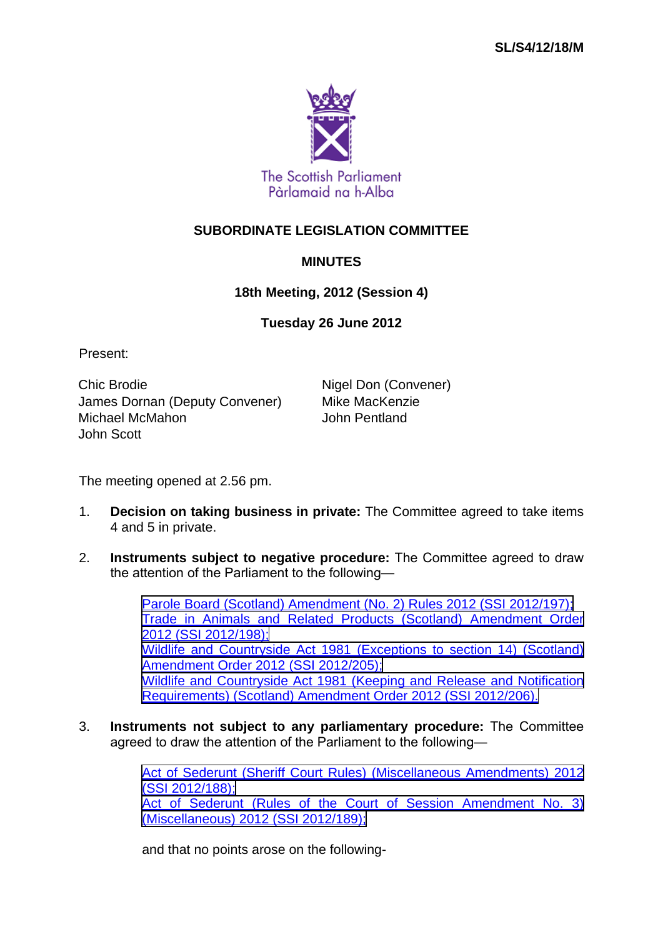

## **SUBORDINATE LEGISLATION COMMITTEE**

## **MINUTES**

## **18th Meeting, 2012 (Session 4)**

## **Tuesday 26 June 2012**

Present:

Chic Brodie **Nigel Don (Convener)** James Dornan (Deputy Convener) Mike MacKenzie Michael McMahon John Pentland John Scott

The meeting opened at 2.56 pm.

- 1. **Decision on taking business in private:** The Committee agreed to take items 4 and 5 in private.
- 2. **Instruments subject to negative procedure:** The Committee agreed to draw the attention of the Parliament to the following—

[Parole Board \(Scotland\) Amendment \(No. 2\) Rules 2012 \(SSI 2012/197\);](http://www.legislation.gov.uk/ssi/2012/197/contents/made) [Trade in Animals and Related Products \(Scotland\) Amendment Order](http://www.legislation.gov.uk/ssi/2012/198/contents/made) [2012 \(SSI 2012/198\);](http://www.legislation.gov.uk/ssi/2012/198/contents/made) [Wildlife and Countryside Act 1981 \(Exceptions to section 14\) \(Scotland\)](http://www.legislation.gov.uk/ssi/2012/205/contents/made) [Amendment Order 2012 \(SSI 2012/205\);](http://www.legislation.gov.uk/ssi/2012/205/contents/made) [Wildlife and Countryside Act 1981 \(Keeping and Release and Notification](http://www.legislation.gov.uk/ssi/2012/206/contents/made) [Requirements\) \(Scotland\) Amendment Order 2012 \(SSI 2012/206\).](http://www.legislation.gov.uk/ssi/2012/206/contents/made)

3. **Instruments not subject to any parliamentary procedure:** The Committee agreed to draw the attention of the Parliament to the following—

> [Act of Sederunt \(Sheriff Court Rules\) \(Miscellaneous Amendments\) 2012](http://www.legislation.gov.uk/ssi/2012/188/contents/made) [\(SSI 2012/188\);](http://www.legislation.gov.uk/ssi/2012/188/contents/made) [Act of Sederunt \(Rules of the Court of Session Amendment No. 3\)](http://www.legislation.gov.uk/ssi/2012/189/contents/made) [\(Miscellaneous\) 2012 \(SSI 2012/189\);](http://www.legislation.gov.uk/ssi/2012/189/contents/made)

and that no points arose on the following-